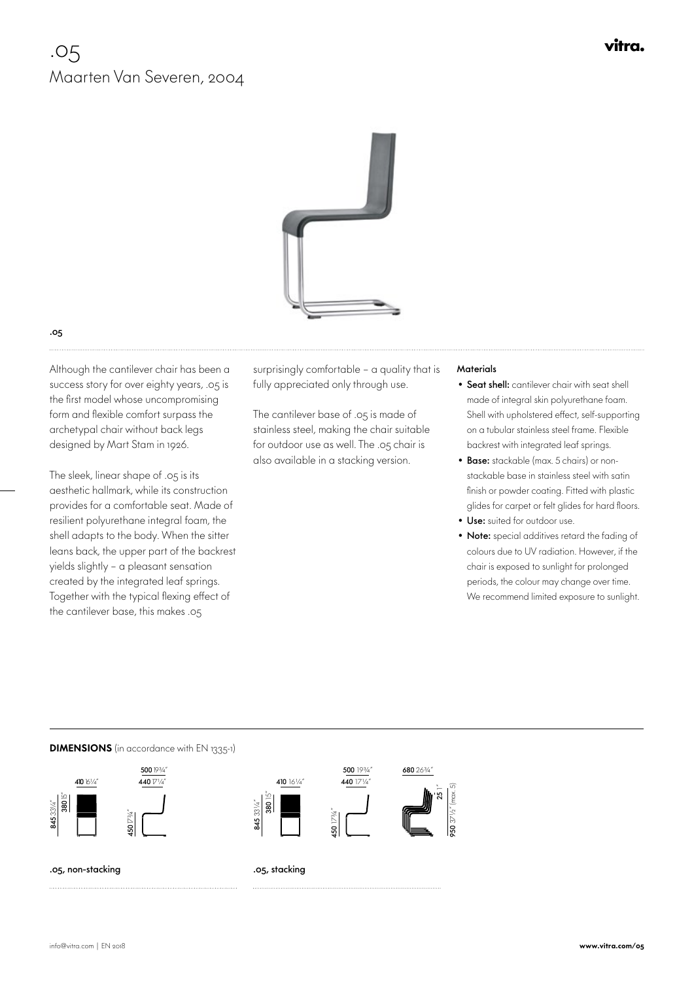# .05 Maarten Van Severen, 2004



### .05

 Although the cantilever chair has been a success story for over eighty years, .05 is the first model whose uncompromising form and flexible comfort surpass the archetypal chair without back legs designed by Mart Stam in 1926.

The sleek, linear shape of .05 is its aesthetic hallmark, while its construction provides for a comfortable seat. Made of resilient polyurethane integral foam, the shell adapts to the body. When the sitter leans back, the upper part of the backrest yields slightly – a pleasant sensation created by the integrated leaf springs. Together with the typical flexing effect of the cantilever base, this makes .05

surprisingly comfortable – a quality that is fully appreciated only through use.

The cantilever base of .05 is made of stainless steel, making the chair suitable for outdoor use as well. The .05 chair is also available in a stacking version.

#### **Materials**

- Seat shell: cantilever chair with seat shell made of integral skin polyurethane foam. Shell with upholstered effect, self-supporting on a tubular stainless steel frame. Flexible backrest with integrated leaf springs.
- Base: stackable (max. 5 chairs) or nonstackable base in stainless steel with satin finish or powder coating. Fitted with plastic glides for carpet or felt glides for hard floors.
- Use: suited for outdoor use.
- Note: special additives retard the fading of colours due to UV radiation. However, if the chair is exposed to sunlight for prolonged periods, the colour may change over time. We recommend limited exposure to sunlight.

#### **DIMENSIONS** (in accordance with EN 1335-1)







680 26<sup>3</sup>/4

25 1" 950 37½" (max. 5)

.05, non-stacking

.05, stacking

845 33¼"

**145** 33 1/4

vitra.